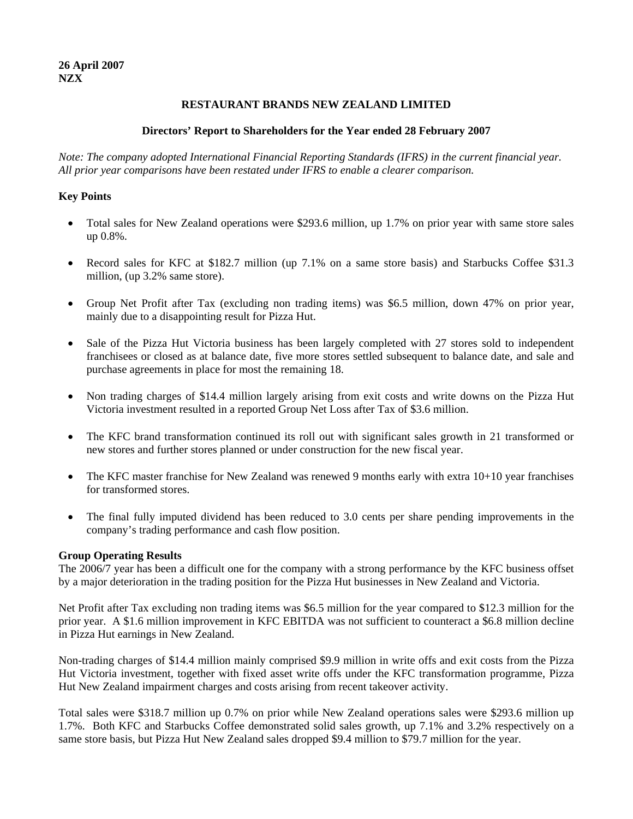## **RESTAURANT BRANDS NEW ZEALAND LIMITED**

## **Directors' Report to Shareholders for the Year ended 28 February 2007**

*Note: The company adopted International Financial Reporting Standards (IFRS) in the current financial year. All prior year comparisons have been restated under IFRS to enable a clearer comparison.* 

# **Key Points**

- Total sales for New Zealand operations were \$293.6 million, up 1.7% on prior year with same store sales up 0.8%.
- Record sales for KFC at \$182.7 million (up 7.1% on a same store basis) and Starbucks Coffee \$31.3 million, (up 3.2% same store).
- Group Net Profit after Tax (excluding non trading items) was \$6.5 million, down 47% on prior year, mainly due to a disappointing result for Pizza Hut.
- Sale of the Pizza Hut Victoria business has been largely completed with 27 stores sold to independent franchisees or closed as at balance date, five more stores settled subsequent to balance date, and sale and purchase agreements in place for most the remaining 18.
- Non trading charges of \$14.4 million largely arising from exit costs and write downs on the Pizza Hut Victoria investment resulted in a reported Group Net Loss after Tax of \$3.6 million.
- The KFC brand transformation continued its roll out with significant sales growth in 21 transformed or new stores and further stores planned or under construction for the new fiscal year.
- The KFC master franchise for New Zealand was renewed 9 months early with extra 10+10 year franchises for transformed stores.
- The final fully imputed dividend has been reduced to 3.0 cents per share pending improvements in the company's trading performance and cash flow position.

### **Group Operating Results**

The 2006/7 year has been a difficult one for the company with a strong performance by the KFC business offset by a major deterioration in the trading position for the Pizza Hut businesses in New Zealand and Victoria.

Net Profit after Tax excluding non trading items was \$6.5 million for the year compared to \$12.3 million for the prior year. A \$1.6 million improvement in KFC EBITDA was not sufficient to counteract a \$6.8 million decline in Pizza Hut earnings in New Zealand.

Non-trading charges of \$14.4 million mainly comprised \$9.9 million in write offs and exit costs from the Pizza Hut Victoria investment, together with fixed asset write offs under the KFC transformation programme, Pizza Hut New Zealand impairment charges and costs arising from recent takeover activity.

Total sales were \$318.7 million up 0.7% on prior while New Zealand operations sales were \$293.6 million up 1.7%. Both KFC and Starbucks Coffee demonstrated solid sales growth, up 7.1% and 3.2% respectively on a same store basis, but Pizza Hut New Zealand sales dropped \$9.4 million to \$79.7 million for the year.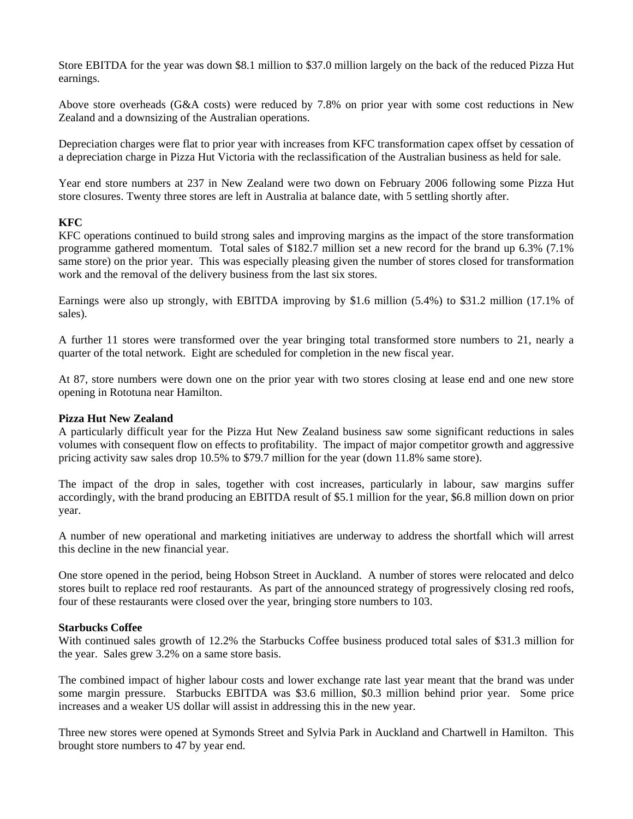Store EBITDA for the year was down \$8.1 million to \$37.0 million largely on the back of the reduced Pizza Hut earnings.

Above store overheads (G&A costs) were reduced by 7.8% on prior year with some cost reductions in New Zealand and a downsizing of the Australian operations.

Depreciation charges were flat to prior year with increases from KFC transformation capex offset by cessation of a depreciation charge in Pizza Hut Victoria with the reclassification of the Australian business as held for sale.

Year end store numbers at 237 in New Zealand were two down on February 2006 following some Pizza Hut store closures. Twenty three stores are left in Australia at balance date, with 5 settling shortly after.

### **KFC**

KFC operations continued to build strong sales and improving margins as the impact of the store transformation programme gathered momentum. Total sales of \$182.7 million set a new record for the brand up 6.3% (7.1% same store) on the prior year. This was especially pleasing given the number of stores closed for transformation work and the removal of the delivery business from the last six stores.

Earnings were also up strongly, with EBITDA improving by \$1.6 million (5.4%) to \$31.2 million (17.1% of sales).

A further 11 stores were transformed over the year bringing total transformed store numbers to 21, nearly a quarter of the total network. Eight are scheduled for completion in the new fiscal year.

At 87, store numbers were down one on the prior year with two stores closing at lease end and one new store opening in Rototuna near Hamilton.

#### **Pizza Hut New Zealand**

A particularly difficult year for the Pizza Hut New Zealand business saw some significant reductions in sales volumes with consequent flow on effects to profitability. The impact of major competitor growth and aggressive pricing activity saw sales drop 10.5% to \$79.7 million for the year (down 11.8% same store).

The impact of the drop in sales, together with cost increases, particularly in labour, saw margins suffer accordingly, with the brand producing an EBITDA result of \$5.1 million for the year, \$6.8 million down on prior year.

A number of new operational and marketing initiatives are underway to address the shortfall which will arrest this decline in the new financial year.

One store opened in the period, being Hobson Street in Auckland. A number of stores were relocated and delco stores built to replace red roof restaurants. As part of the announced strategy of progressively closing red roofs, four of these restaurants were closed over the year, bringing store numbers to 103.

#### **Starbucks Coffee**

With continued sales growth of 12.2% the Starbucks Coffee business produced total sales of \$31.3 million for the year. Sales grew 3.2% on a same store basis.

The combined impact of higher labour costs and lower exchange rate last year meant that the brand was under some margin pressure. Starbucks EBITDA was \$3.6 million, \$0.3 million behind prior year. Some price increases and a weaker US dollar will assist in addressing this in the new year.

Three new stores were opened at Symonds Street and Sylvia Park in Auckland and Chartwell in Hamilton. This brought store numbers to 47 by year end.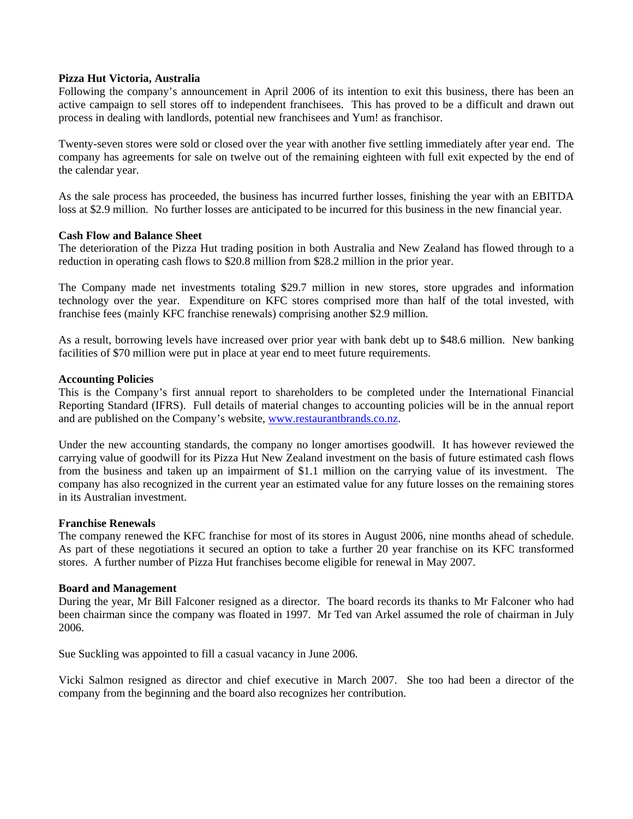### **Pizza Hut Victoria, Australia**

Following the company's announcement in April 2006 of its intention to exit this business, there has been an active campaign to sell stores off to independent franchisees. This has proved to be a difficult and drawn out process in dealing with landlords, potential new franchisees and Yum! as franchisor.

Twenty-seven stores were sold or closed over the year with another five settling immediately after year end. The company has agreements for sale on twelve out of the remaining eighteen with full exit expected by the end of the calendar year.

As the sale process has proceeded, the business has incurred further losses, finishing the year with an EBITDA loss at \$2.9 million. No further losses are anticipated to be incurred for this business in the new financial year.

#### **Cash Flow and Balance Sheet**

The deterioration of the Pizza Hut trading position in both Australia and New Zealand has flowed through to a reduction in operating cash flows to \$20.8 million from \$28.2 million in the prior year.

The Company made net investments totaling \$29.7 million in new stores, store upgrades and information technology over the year. Expenditure on KFC stores comprised more than half of the total invested, with franchise fees (mainly KFC franchise renewals) comprising another \$2.9 million.

As a result, borrowing levels have increased over prior year with bank debt up to \$48.6 million. New banking facilities of \$70 million were put in place at year end to meet future requirements.

#### **Accounting Policies**

This is the Company's first annual report to shareholders to be completed under the International Financial Reporting Standard (IFRS). Full details of material changes to accounting policies will be in the annual report and are published on the Company's website, [www.restaurantbrands.co.nz](http://www.restaurantbrands.co.nz/).

Under the new accounting standards, the company no longer amortises goodwill. It has however reviewed the carrying value of goodwill for its Pizza Hut New Zealand investment on the basis of future estimated cash flows from the business and taken up an impairment of \$1.1 million on the carrying value of its investment. The company has also recognized in the current year an estimated value for any future losses on the remaining stores in its Australian investment.

#### **Franchise Renewals**

The company renewed the KFC franchise for most of its stores in August 2006, nine months ahead of schedule. As part of these negotiations it secured an option to take a further 20 year franchise on its KFC transformed stores. A further number of Pizza Hut franchises become eligible for renewal in May 2007.

#### **Board and Management**

During the year, Mr Bill Falconer resigned as a director. The board records its thanks to Mr Falconer who had been chairman since the company was floated in 1997. Mr Ted van Arkel assumed the role of chairman in July 2006.

Sue Suckling was appointed to fill a casual vacancy in June 2006.

Vicki Salmon resigned as director and chief executive in March 2007. She too had been a director of the company from the beginning and the board also recognizes her contribution.